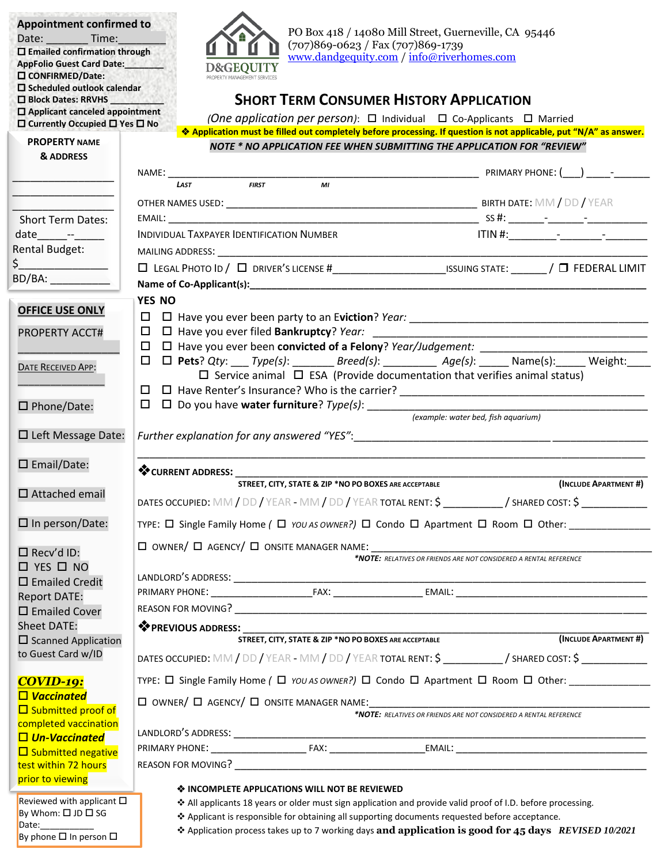| <b>PROPERTY NAME</b><br><b>NOTE * NO APPLICATION FEE WHEN SUBMITTING THE APPLICATION FOR "REVIEW"</b><br>& ADDRESS<br><b>LAST</b><br><b>FIRST</b><br>MI<br><b>Short Term Dates:</b><br>INDIVIDUAL TAXPAYER IDENTIFICATION NUMBER<br>date --<br>Rental Budget:<br>$\frac{1}{2}$<br>BD/BA: ___________<br>YES NO<br><b>OFFICE USE ONLY</b><br>$\Box$ $\Box$ Have you ever filed <b>Bankruptcy</b> ? Year:<br><b>PROPERTY ACCT#</b><br>□ □ Have you ever been convicted of a Felony? Year/Judgement: ___________<br>$\Box \quad \Box \quad \text{Pets? Qty: } \underline{\qquad \qquad Type(s):} \underline{\qquad \qquad Breed(s):} \underline{\qquad \qquad \qquad Age(s):} \underline{\qquad \qquad Name(s):} \underline{\qquad \qquad } \underline{\qquad \qquad } \underline{\qquad \qquad } \underline{\qquad } \underline{\qquad } \underline{\qquad } \underline{\qquad } \underline{\qquad } \underline{\qquad } \underline{\qquad } \underline{\qquad } \underline{\qquad } \underline{\qquad } \underline{\qquad } \underline{\qquad } \underline{\qquad } \underline{\qquad } \underline{\qquad } \underline{\qquad } \underline{\qquad } \underline{\qquad } \underline{\qquad } \underline{\qquad } \underline{\$<br><b>DATE RECEIVED APP:</b><br>$\Box$ Service animal $\Box$ ESA (Provide documentation that verifies animal status)<br>$\Box$<br>$\square$ Phone/Date:<br>(example: water bed, fish aquarium)<br>$\Box$ Left Message Date:<br>$\square$ Email/Date:<br>STREET, CITY, STATE & ZIP *NO PO BOXES ARE ACCEPTABLE<br>$\Box$ Attached email<br>DATES OCCUPIED: MM / DD / YEAR - MM / DD / YEAR TOTAL RENT: $\zeta$ __________/ SHARED COST: $\zeta$ ___________<br>$\Box$ In person/Date:<br>TYPE: $\Box$ Single Family Home ( $\Box$ <i>YOU AS OWNER?</i> ) $\Box$ Condo $\Box$ Apartment $\Box$ Room $\Box$ Other:<br>$\Box$ Recv'd ID:<br>$\Box$ YES $\Box$ NO<br>$\square$ Emailed Credit<br><b>Report DATE:</b><br>$\square$ Emailed Cover<br><b>Sheet DATE:</b><br><b>EXPREVIOUS ADDRESS:</b><br>STREET, CITY, STATE & ZIP *NO PO BOXES ARE ACCEPTABLE<br>$\square$ Scanned Application<br>to Guest Card w/ID<br>DATES OCCUPIED: MM / DD / YEAR - MM / DD / YEAR TOTAL RENT: \$ __________/ SHARED COST: \$ __________<br>TYPE: $\Box$ Single Family Home ( $\Box$ YOU AS OWNER?) $\Box$ Condo $\Box$ Apartment $\Box$ Room $\Box$ Other:<br><b>COVID-19:</b><br>$\Box$ Vaccinated<br>$\Box$ OWNER/ $\Box$ AGENCY/ $\Box$ ONSITE MANAGER NAME:<br>□ Submitted proof of<br>*NOTE: RELATIVES OR FRIENDS ARE NOT CONSIDERED A RENTAL REFERENCE | PO Box 418 / 14080 Mill Street, Guerneville, CA 95446<br>www.dandgequity.com / info@riverhomes.com<br><b>SHORT TERM CONSUMER HISTORY APPLICATION</b><br><i>(One application per person)</i> : $\Box$ Individual $\Box$ Co-Applicants $\Box$ Married<br>◆ Application must be filled out completely before processing. If question is not applicable, put "N/A" as answer. |  |  |  |  |
|---------------------------------------------------------------------------------------------------------------------------------------------------------------------------------------------------------------------------------------------------------------------------------------------------------------------------------------------------------------------------------------------------------------------------------------------------------------------------------------------------------------------------------------------------------------------------------------------------------------------------------------------------------------------------------------------------------------------------------------------------------------------------------------------------------------------------------------------------------------------------------------------------------------------------------------------------------------------------------------------------------------------------------------------------------------------------------------------------------------------------------------------------------------------------------------------------------------------------------------------------------------------------------------------------------------------------------------------------------------------------------------------------------------------------------------------------------------------------------------------------------------------------------------------------------------------------------------------------------------------------------------------------------------------------------------------------------------------------------------------------------------------------------------------------------------------------------------------------------------------------------------------------------------------------------------------------------------------------------------------------------------------------------------------------------------------------------------------------------------------------------------------------------------------------------------------------------------------------------------------------------------------------------------------------------------------------------------------------------------------------------------------------------------------------------------------------------------------------------------------------------------------------------------------------------------------------|---------------------------------------------------------------------------------------------------------------------------------------------------------------------------------------------------------------------------------------------------------------------------------------------------------------------------------------------------------------------------|--|--|--|--|
|                                                                                                                                                                                                                                                                                                                                                                                                                                                                                                                                                                                                                                                                                                                                                                                                                                                                                                                                                                                                                                                                                                                                                                                                                                                                                                                                                                                                                                                                                                                                                                                                                                                                                                                                                                                                                                                                                                                                                                                                                                                                                                                                                                                                                                                                                                                                                                                                                                                                                                                                                                           |                                                                                                                                                                                                                                                                                                                                                                           |  |  |  |  |
|                                                                                                                                                                                                                                                                                                                                                                                                                                                                                                                                                                                                                                                                                                                                                                                                                                                                                                                                                                                                                                                                                                                                                                                                                                                                                                                                                                                                                                                                                                                                                                                                                                                                                                                                                                                                                                                                                                                                                                                                                                                                                                                                                                                                                                                                                                                                                                                                                                                                                                                                                                           |                                                                                                                                                                                                                                                                                                                                                                           |  |  |  |  |
|                                                                                                                                                                                                                                                                                                                                                                                                                                                                                                                                                                                                                                                                                                                                                                                                                                                                                                                                                                                                                                                                                                                                                                                                                                                                                                                                                                                                                                                                                                                                                                                                                                                                                                                                                                                                                                                                                                                                                                                                                                                                                                                                                                                                                                                                                                                                                                                                                                                                                                                                                                           | PRIMARY PHONE: ( ) –                                                                                                                                                                                                                                                                                                                                                      |  |  |  |  |
|                                                                                                                                                                                                                                                                                                                                                                                                                                                                                                                                                                                                                                                                                                                                                                                                                                                                                                                                                                                                                                                                                                                                                                                                                                                                                                                                                                                                                                                                                                                                                                                                                                                                                                                                                                                                                                                                                                                                                                                                                                                                                                                                                                                                                                                                                                                                                                                                                                                                                                                                                                           |                                                                                                                                                                                                                                                                                                                                                                           |  |  |  |  |
|                                                                                                                                                                                                                                                                                                                                                                                                                                                                                                                                                                                                                                                                                                                                                                                                                                                                                                                                                                                                                                                                                                                                                                                                                                                                                                                                                                                                                                                                                                                                                                                                                                                                                                                                                                                                                                                                                                                                                                                                                                                                                                                                                                                                                                                                                                                                                                                                                                                                                                                                                                           |                                                                                                                                                                                                                                                                                                                                                                           |  |  |  |  |
|                                                                                                                                                                                                                                                                                                                                                                                                                                                                                                                                                                                                                                                                                                                                                                                                                                                                                                                                                                                                                                                                                                                                                                                                                                                                                                                                                                                                                                                                                                                                                                                                                                                                                                                                                                                                                                                                                                                                                                                                                                                                                                                                                                                                                                                                                                                                                                                                                                                                                                                                                                           |                                                                                                                                                                                                                                                                                                                                                                           |  |  |  |  |
|                                                                                                                                                                                                                                                                                                                                                                                                                                                                                                                                                                                                                                                                                                                                                                                                                                                                                                                                                                                                                                                                                                                                                                                                                                                                                                                                                                                                                                                                                                                                                                                                                                                                                                                                                                                                                                                                                                                                                                                                                                                                                                                                                                                                                                                                                                                                                                                                                                                                                                                                                                           |                                                                                                                                                                                                                                                                                                                                                                           |  |  |  |  |
|                                                                                                                                                                                                                                                                                                                                                                                                                                                                                                                                                                                                                                                                                                                                                                                                                                                                                                                                                                                                                                                                                                                                                                                                                                                                                                                                                                                                                                                                                                                                                                                                                                                                                                                                                                                                                                                                                                                                                                                                                                                                                                                                                                                                                                                                                                                                                                                                                                                                                                                                                                           |                                                                                                                                                                                                                                                                                                                                                                           |  |  |  |  |
|                                                                                                                                                                                                                                                                                                                                                                                                                                                                                                                                                                                                                                                                                                                                                                                                                                                                                                                                                                                                                                                                                                                                                                                                                                                                                                                                                                                                                                                                                                                                                                                                                                                                                                                                                                                                                                                                                                                                                                                                                                                                                                                                                                                                                                                                                                                                                                                                                                                                                                                                                                           |                                                                                                                                                                                                                                                                                                                                                                           |  |  |  |  |
|                                                                                                                                                                                                                                                                                                                                                                                                                                                                                                                                                                                                                                                                                                                                                                                                                                                                                                                                                                                                                                                                                                                                                                                                                                                                                                                                                                                                                                                                                                                                                                                                                                                                                                                                                                                                                                                                                                                                                                                                                                                                                                                                                                                                                                                                                                                                                                                                                                                                                                                                                                           |                                                                                                                                                                                                                                                                                                                                                                           |  |  |  |  |
|                                                                                                                                                                                                                                                                                                                                                                                                                                                                                                                                                                                                                                                                                                                                                                                                                                                                                                                                                                                                                                                                                                                                                                                                                                                                                                                                                                                                                                                                                                                                                                                                                                                                                                                                                                                                                                                                                                                                                                                                                                                                                                                                                                                                                                                                                                                                                                                                                                                                                                                                                                           |                                                                                                                                                                                                                                                                                                                                                                           |  |  |  |  |
|                                                                                                                                                                                                                                                                                                                                                                                                                                                                                                                                                                                                                                                                                                                                                                                                                                                                                                                                                                                                                                                                                                                                                                                                                                                                                                                                                                                                                                                                                                                                                                                                                                                                                                                                                                                                                                                                                                                                                                                                                                                                                                                                                                                                                                                                                                                                                                                                                                                                                                                                                                           |                                                                                                                                                                                                                                                                                                                                                                           |  |  |  |  |
|                                                                                                                                                                                                                                                                                                                                                                                                                                                                                                                                                                                                                                                                                                                                                                                                                                                                                                                                                                                                                                                                                                                                                                                                                                                                                                                                                                                                                                                                                                                                                                                                                                                                                                                                                                                                                                                                                                                                                                                                                                                                                                                                                                                                                                                                                                                                                                                                                                                                                                                                                                           |                                                                                                                                                                                                                                                                                                                                                                           |  |  |  |  |
|                                                                                                                                                                                                                                                                                                                                                                                                                                                                                                                                                                                                                                                                                                                                                                                                                                                                                                                                                                                                                                                                                                                                                                                                                                                                                                                                                                                                                                                                                                                                                                                                                                                                                                                                                                                                                                                                                                                                                                                                                                                                                                                                                                                                                                                                                                                                                                                                                                                                                                                                                                           |                                                                                                                                                                                                                                                                                                                                                                           |  |  |  |  |
|                                                                                                                                                                                                                                                                                                                                                                                                                                                                                                                                                                                                                                                                                                                                                                                                                                                                                                                                                                                                                                                                                                                                                                                                                                                                                                                                                                                                                                                                                                                                                                                                                                                                                                                                                                                                                                                                                                                                                                                                                                                                                                                                                                                                                                                                                                                                                                                                                                                                                                                                                                           |                                                                                                                                                                                                                                                                                                                                                                           |  |  |  |  |
|                                                                                                                                                                                                                                                                                                                                                                                                                                                                                                                                                                                                                                                                                                                                                                                                                                                                                                                                                                                                                                                                                                                                                                                                                                                                                                                                                                                                                                                                                                                                                                                                                                                                                                                                                                                                                                                                                                                                                                                                                                                                                                                                                                                                                                                                                                                                                                                                                                                                                                                                                                           |                                                                                                                                                                                                                                                                                                                                                                           |  |  |  |  |
|                                                                                                                                                                                                                                                                                                                                                                                                                                                                                                                                                                                                                                                                                                                                                                                                                                                                                                                                                                                                                                                                                                                                                                                                                                                                                                                                                                                                                                                                                                                                                                                                                                                                                                                                                                                                                                                                                                                                                                                                                                                                                                                                                                                                                                                                                                                                                                                                                                                                                                                                                                           |                                                                                                                                                                                                                                                                                                                                                                           |  |  |  |  |
|                                                                                                                                                                                                                                                                                                                                                                                                                                                                                                                                                                                                                                                                                                                                                                                                                                                                                                                                                                                                                                                                                                                                                                                                                                                                                                                                                                                                                                                                                                                                                                                                                                                                                                                                                                                                                                                                                                                                                                                                                                                                                                                                                                                                                                                                                                                                                                                                                                                                                                                                                                           |                                                                                                                                                                                                                                                                                                                                                                           |  |  |  |  |
|                                                                                                                                                                                                                                                                                                                                                                                                                                                                                                                                                                                                                                                                                                                                                                                                                                                                                                                                                                                                                                                                                                                                                                                                                                                                                                                                                                                                                                                                                                                                                                                                                                                                                                                                                                                                                                                                                                                                                                                                                                                                                                                                                                                                                                                                                                                                                                                                                                                                                                                                                                           |                                                                                                                                                                                                                                                                                                                                                                           |  |  |  |  |
|                                                                                                                                                                                                                                                                                                                                                                                                                                                                                                                                                                                                                                                                                                                                                                                                                                                                                                                                                                                                                                                                                                                                                                                                                                                                                                                                                                                                                                                                                                                                                                                                                                                                                                                                                                                                                                                                                                                                                                                                                                                                                                                                                                                                                                                                                                                                                                                                                                                                                                                                                                           |                                                                                                                                                                                                                                                                                                                                                                           |  |  |  |  |
|                                                                                                                                                                                                                                                                                                                                                                                                                                                                                                                                                                                                                                                                                                                                                                                                                                                                                                                                                                                                                                                                                                                                                                                                                                                                                                                                                                                                                                                                                                                                                                                                                                                                                                                                                                                                                                                                                                                                                                                                                                                                                                                                                                                                                                                                                                                                                                                                                                                                                                                                                                           | (INCLUDE APARTMENT #)                                                                                                                                                                                                                                                                                                                                                     |  |  |  |  |
|                                                                                                                                                                                                                                                                                                                                                                                                                                                                                                                                                                                                                                                                                                                                                                                                                                                                                                                                                                                                                                                                                                                                                                                                                                                                                                                                                                                                                                                                                                                                                                                                                                                                                                                                                                                                                                                                                                                                                                                                                                                                                                                                                                                                                                                                                                                                                                                                                                                                                                                                                                           |                                                                                                                                                                                                                                                                                                                                                                           |  |  |  |  |
|                                                                                                                                                                                                                                                                                                                                                                                                                                                                                                                                                                                                                                                                                                                                                                                                                                                                                                                                                                                                                                                                                                                                                                                                                                                                                                                                                                                                                                                                                                                                                                                                                                                                                                                                                                                                                                                                                                                                                                                                                                                                                                                                                                                                                                                                                                                                                                                                                                                                                                                                                                           |                                                                                                                                                                                                                                                                                                                                                                           |  |  |  |  |
|                                                                                                                                                                                                                                                                                                                                                                                                                                                                                                                                                                                                                                                                                                                                                                                                                                                                                                                                                                                                                                                                                                                                                                                                                                                                                                                                                                                                                                                                                                                                                                                                                                                                                                                                                                                                                                                                                                                                                                                                                                                                                                                                                                                                                                                                                                                                                                                                                                                                                                                                                                           |                                                                                                                                                                                                                                                                                                                                                                           |  |  |  |  |
|                                                                                                                                                                                                                                                                                                                                                                                                                                                                                                                                                                                                                                                                                                                                                                                                                                                                                                                                                                                                                                                                                                                                                                                                                                                                                                                                                                                                                                                                                                                                                                                                                                                                                                                                                                                                                                                                                                                                                                                                                                                                                                                                                                                                                                                                                                                                                                                                                                                                                                                                                                           | *NOTE: RELATIVES OR FRIENDS ARE NOT CONSIDERED A RENTAL REFERENCE                                                                                                                                                                                                                                                                                                         |  |  |  |  |
|                                                                                                                                                                                                                                                                                                                                                                                                                                                                                                                                                                                                                                                                                                                                                                                                                                                                                                                                                                                                                                                                                                                                                                                                                                                                                                                                                                                                                                                                                                                                                                                                                                                                                                                                                                                                                                                                                                                                                                                                                                                                                                                                                                                                                                                                                                                                                                                                                                                                                                                                                                           |                                                                                                                                                                                                                                                                                                                                                                           |  |  |  |  |
|                                                                                                                                                                                                                                                                                                                                                                                                                                                                                                                                                                                                                                                                                                                                                                                                                                                                                                                                                                                                                                                                                                                                                                                                                                                                                                                                                                                                                                                                                                                                                                                                                                                                                                                                                                                                                                                                                                                                                                                                                                                                                                                                                                                                                                                                                                                                                                                                                                                                                                                                                                           |                                                                                                                                                                                                                                                                                                                                                                           |  |  |  |  |
|                                                                                                                                                                                                                                                                                                                                                                                                                                                                                                                                                                                                                                                                                                                                                                                                                                                                                                                                                                                                                                                                                                                                                                                                                                                                                                                                                                                                                                                                                                                                                                                                                                                                                                                                                                                                                                                                                                                                                                                                                                                                                                                                                                                                                                                                                                                                                                                                                                                                                                                                                                           |                                                                                                                                                                                                                                                                                                                                                                           |  |  |  |  |
|                                                                                                                                                                                                                                                                                                                                                                                                                                                                                                                                                                                                                                                                                                                                                                                                                                                                                                                                                                                                                                                                                                                                                                                                                                                                                                                                                                                                                                                                                                                                                                                                                                                                                                                                                                                                                                                                                                                                                                                                                                                                                                                                                                                                                                                                                                                                                                                                                                                                                                                                                                           |                                                                                                                                                                                                                                                                                                                                                                           |  |  |  |  |
|                                                                                                                                                                                                                                                                                                                                                                                                                                                                                                                                                                                                                                                                                                                                                                                                                                                                                                                                                                                                                                                                                                                                                                                                                                                                                                                                                                                                                                                                                                                                                                                                                                                                                                                                                                                                                                                                                                                                                                                                                                                                                                                                                                                                                                                                                                                                                                                                                                                                                                                                                                           | <u> 1989 - Johann Barbara, martxa al III-lea (h. 1974).</u><br>(INCLUDE APARTMENT #)                                                                                                                                                                                                                                                                                      |  |  |  |  |
|                                                                                                                                                                                                                                                                                                                                                                                                                                                                                                                                                                                                                                                                                                                                                                                                                                                                                                                                                                                                                                                                                                                                                                                                                                                                                                                                                                                                                                                                                                                                                                                                                                                                                                                                                                                                                                                                                                                                                                                                                                                                                                                                                                                                                                                                                                                                                                                                                                                                                                                                                                           |                                                                                                                                                                                                                                                                                                                                                                           |  |  |  |  |
|                                                                                                                                                                                                                                                                                                                                                                                                                                                                                                                                                                                                                                                                                                                                                                                                                                                                                                                                                                                                                                                                                                                                                                                                                                                                                                                                                                                                                                                                                                                                                                                                                                                                                                                                                                                                                                                                                                                                                                                                                                                                                                                                                                                                                                                                                                                                                                                                                                                                                                                                                                           |                                                                                                                                                                                                                                                                                                                                                                           |  |  |  |  |
|                                                                                                                                                                                                                                                                                                                                                                                                                                                                                                                                                                                                                                                                                                                                                                                                                                                                                                                                                                                                                                                                                                                                                                                                                                                                                                                                                                                                                                                                                                                                                                                                                                                                                                                                                                                                                                                                                                                                                                                                                                                                                                                                                                                                                                                                                                                                                                                                                                                                                                                                                                           |                                                                                                                                                                                                                                                                                                                                                                           |  |  |  |  |
| completed vaccination                                                                                                                                                                                                                                                                                                                                                                                                                                                                                                                                                                                                                                                                                                                                                                                                                                                                                                                                                                                                                                                                                                                                                                                                                                                                                                                                                                                                                                                                                                                                                                                                                                                                                                                                                                                                                                                                                                                                                                                                                                                                                                                                                                                                                                                                                                                                                                                                                                                                                                                                                     |                                                                                                                                                                                                                                                                                                                                                                           |  |  |  |  |
| $\Box$ Un-Vaccinated                                                                                                                                                                                                                                                                                                                                                                                                                                                                                                                                                                                                                                                                                                                                                                                                                                                                                                                                                                                                                                                                                                                                                                                                                                                                                                                                                                                                                                                                                                                                                                                                                                                                                                                                                                                                                                                                                                                                                                                                                                                                                                                                                                                                                                                                                                                                                                                                                                                                                                                                                      |                                                                                                                                                                                                                                                                                                                                                                           |  |  |  |  |
| $\Box$ Submitted negative                                                                                                                                                                                                                                                                                                                                                                                                                                                                                                                                                                                                                                                                                                                                                                                                                                                                                                                                                                                                                                                                                                                                                                                                                                                                                                                                                                                                                                                                                                                                                                                                                                                                                                                                                                                                                                                                                                                                                                                                                                                                                                                                                                                                                                                                                                                                                                                                                                                                                                                                                 |                                                                                                                                                                                                                                                                                                                                                                           |  |  |  |  |
| test within 72 hours                                                                                                                                                                                                                                                                                                                                                                                                                                                                                                                                                                                                                                                                                                                                                                                                                                                                                                                                                                                                                                                                                                                                                                                                                                                                                                                                                                                                                                                                                                                                                                                                                                                                                                                                                                                                                                                                                                                                                                                                                                                                                                                                                                                                                                                                                                                                                                                                                                                                                                                                                      |                                                                                                                                                                                                                                                                                                                                                                           |  |  |  |  |
| prior to viewing<br>♦ INCOMPLETE APPLICATIONS WILL NOT BE REVIEWED                                                                                                                                                                                                                                                                                                                                                                                                                                                                                                                                                                                                                                                                                                                                                                                                                                                                                                                                                                                                                                                                                                                                                                                                                                                                                                                                                                                                                                                                                                                                                                                                                                                                                                                                                                                                                                                                                                                                                                                                                                                                                                                                                                                                                                                                                                                                                                                                                                                                                                        |                                                                                                                                                                                                                                                                                                                                                                           |  |  |  |  |
| Reviewed with applicant $\square$<br>❖ All applicants 18 years or older must sign application and provide valid proof of I.D. before processing.                                                                                                                                                                                                                                                                                                                                                                                                                                                                                                                                                                                                                                                                                                                                                                                                                                                                                                                                                                                                                                                                                                                                                                                                                                                                                                                                                                                                                                                                                                                                                                                                                                                                                                                                                                                                                                                                                                                                                                                                                                                                                                                                                                                                                                                                                                                                                                                                                          |                                                                                                                                                                                                                                                                                                                                                                           |  |  |  |  |
| By Whom: □ JD □ SG<br>❖ Applicant is responsible for obtaining all supporting documents requested before acceptance.<br>Date:<br>A Application process tokes up to 7 working down and application is good for 4. days, BEUISED 10/2021                                                                                                                                                                                                                                                                                                                                                                                                                                                                                                                                                                                                                                                                                                                                                                                                                                                                                                                                                                                                                                                                                                                                                                                                                                                                                                                                                                                                                                                                                                                                                                                                                                                                                                                                                                                                                                                                                                                                                                                                                                                                                                                                                                                                                                                                                                                                    |                                                                                                                                                                                                                                                                                                                                                                           |  |  |  |  |

|  |  | By phone $\square$ In person $\square$ |  |
|--|--|----------------------------------------|--|

<sup>❖</sup> Application process takes up to 7 working days **and application is good for 45 days** *REVISED 10/2021*